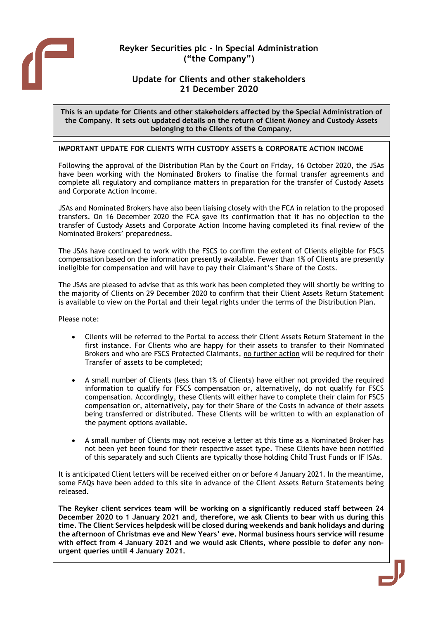

# Reyker Securities plc - In Special Administration ("the Company")

## Update for Clients and other stakeholders 21 December 2020

This is an update for Clients and other stakeholders affected by the Special Administration of the Company. It sets out updated details on the return of Client Money and Custody Assets belonging to the Clients of the Company.

## IMPORTANT UPDATE FOR CLIENTS WITH CUSTODY ASSETS & CORPORATE ACTION INCOME

Following the approval of the Distribution Plan by the Court on Friday, 16 October 2020, the JSAs have been working with the Nominated Brokers to finalise the formal transfer agreements and complete all regulatory and compliance matters in preparation for the transfer of Custody Assets and Corporate Action Income.

JSAs and Nominated Brokers have also been liaising closely with the FCA in relation to the proposed transfers. On 16 December 2020 the FCA gave its confirmation that it has no objection to the transfer of Custody Assets and Corporate Action Income having completed its final review of the Nominated Brokers' preparedness.

The JSAs have continued to work with the FSCS to confirm the extent of Clients eligible for FSCS compensation based on the information presently available. Fewer than 1% of Clients are presently ineligible for compensation and will have to pay their Claimant's Share of the Costs.

The JSAs are pleased to advise that as this work has been completed they will shortly be writing to the majority of Clients on 29 December 2020 to confirm that their Client Assets Return Statement is available to view on the Portal and their legal rights under the terms of the Distribution Plan.

Please note:

- Clients will be referred to the Portal to access their Client Assets Return Statement in the first instance. For Clients who are happy for their assets to transfer to their Nominated Brokers and who are FSCS Protected Claimants, no further action will be required for their Transfer of assets to be completed;
- A small number of Clients (less than 1% of Clients) have either not provided the required information to qualify for FSCS compensation or, alternatively, do not qualify for FSCS compensation. Accordingly, these Clients will either have to complete their claim for FSCS compensation or, alternatively, pay for their Share of the Costs in advance of their assets being transferred or distributed. These Clients will be written to with an explanation of the payment options available.
- A small number of Clients may not receive a letter at this time as a Nominated Broker has not been yet been found for their respective asset type. These Clients have been notified of this separately and such Clients are typically those holding Child Trust Funds or IF ISAs.

It is anticipated Client letters will be received either on or before 4 January 2021. In the meantime, some FAQs have been added to this site in advance of the Client Assets Return Statements being released.

The Reyker client services team will be working on a significantly reduced staff between 24 December 2020 to 1 January 2021 and, therefore, we ask Clients to bear with us during this time. The Client Services helpdesk will be closed during weekends and bank holidays and during the afternoon of Christmas eve and New Years' eve. Normal business hours service will resume with effect from 4 January 2021 and we would ask Clients, where possible to defer any nonurgent queries until 4 January 2021.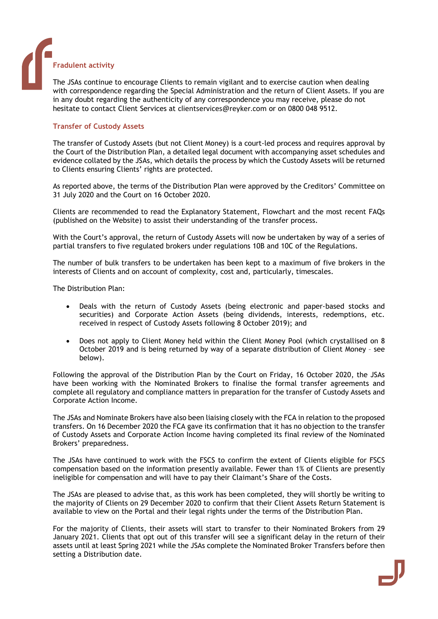#### Fradulent activity

The JSAs continue to encourage Clients to remain vigilant and to exercise caution when dealing with correspondence regarding the Special Administration and the return of Client Assets. If you are in any doubt regarding the authenticity of any correspondence you may receive, please do not hesitate to contact Client Services at clientservices@reyker.com or on 0800 048 9512.

#### Transfer of Custody Assets

The transfer of Custody Assets (but not Client Money) is a court-led process and requires approval by the Court of the Distribution Plan, a detailed legal document with accompanying asset schedules and evidence collated by the JSAs, which details the process by which the Custody Assets will be returned to Clients ensuring Clients' rights are protected.

As reported above, the terms of the Distribution Plan were approved by the Creditors' Committee on 31 July 2020 and the Court on 16 October 2020.

Clients are recommended to read the Explanatory Statement, Flowchart and the most recent FAQs (published on the Website) to assist their understanding of the transfer process.

With the Court's approval, the return of Custody Assets will now be undertaken by way of a series of partial transfers to five regulated brokers under regulations 10B and 10C of the Regulations.

The number of bulk transfers to be undertaken has been kept to a maximum of five brokers in the interests of Clients and on account of complexity, cost and, particularly, timescales.

The Distribution Plan:

- Deals with the return of Custody Assets (being electronic and paper-based stocks and securities) and Corporate Action Assets (being dividends, interests, redemptions, etc. received in respect of Custody Assets following 8 October 2019); and
- Does not apply to Client Money held within the Client Money Pool (which crystallised on 8 October 2019 and is being returned by way of a separate distribution of Client Money – see below).

Following the approval of the Distribution Plan by the Court on Friday, 16 October 2020, the JSAs have been working with the Nominated Brokers to finalise the formal transfer agreements and complete all regulatory and compliance matters in preparation for the transfer of Custody Assets and Corporate Action Income.

The JSAs and Nominate Brokers have also been liaising closely with the FCA in relation to the proposed transfers. On 16 December 2020 the FCA gave its confirmation that it has no objection to the transfer of Custody Assets and Corporate Action Income having completed its final review of the Nominated Brokers' preparedness.

The JSAs have continued to work with the FSCS to confirm the extent of Clients eligible for FSCS compensation based on the information presently available. Fewer than 1% of Clients are presently ineligible for compensation and will have to pay their Claimant's Share of the Costs.

The JSAs are pleased to advise that, as this work has been completed, they will shortly be writing to the majority of Clients on 29 December 2020 to confirm that their Client Assets Return Statement is available to view on the Portal and their legal rights under the terms of the Distribution Plan.

For the majority of Clients, their assets will start to transfer to their Nominated Brokers from 29 January 2021. Clients that opt out of this transfer will see a significant delay in the return of their assets until at least Spring 2021 while the JSAs complete the Nominated Broker Transfers before then setting a Distribution date.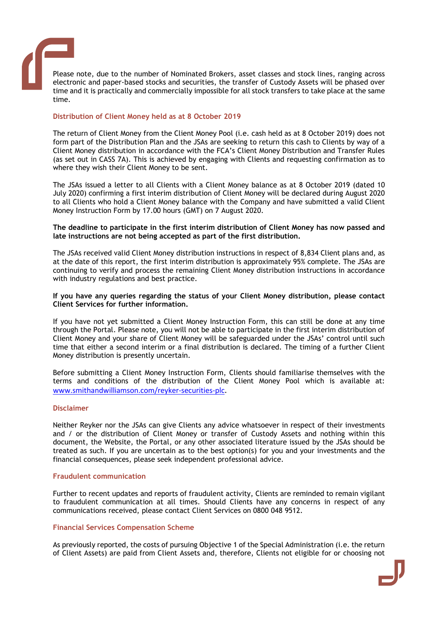

Please note, due to the number of Nominated Brokers, asset classes and stock lines, ranging across electronic and paper-based stocks and securities, the transfer of Custody Assets will be phased over time and it is practically and commercially impossible for all stock transfers to take place at the same time.

## Distribution of Client Money held as at 8 October 2019

The return of Client Money from the Client Money Pool (i.e. cash held as at 8 October 2019) does not form part of the Distribution Plan and the JSAs are seeking to return this cash to Clients by way of a Client Money distribution in accordance with the FCA's Client Money Distribution and Transfer Rules (as set out in CASS 7A). This is achieved by engaging with Clients and requesting confirmation as to where they wish their Client Money to be sent.

The JSAs issued a letter to all Clients with a Client Money balance as at 8 October 2019 (dated 10 July 2020) confirming a first interim distribution of Client Money will be declared during August 2020 to all Clients who hold a Client Money balance with the Company and have submitted a valid Client Money Instruction Form by 17.00 hours (GMT) on 7 August 2020.

#### The deadline to participate in the first interim distribution of Client Money has now passed and late instructions are not being accepted as part of the first distribution.

The JSAs received valid Client Money distribution instructions in respect of 8,834 Client plans and, as at the date of this report, the first interim distribution is approximately 95% complete. The JSAs are continuing to verify and process the remaining Client Money distribution instructions in accordance with industry regulations and best practice.

#### If you have any queries regarding the status of your Client Money distribution, please contact Client Services for further information.

If you have not yet submitted a Client Money Instruction Form, this can still be done at any time through the Portal. Please note, you will not be able to participate in the first interim distribution of Client Money and your share of Client Money will be safeguarded under the JSAs' control until such time that either a second interim or a final distribution is declared. The timing of a further Client Money distribution is presently uncertain.

Before submitting a Client Money Instruction Form, Clients should familiarise themselves with the terms and conditions of the distribution of the Client Money Pool which is available at: www.smithandwilliamson.com/reyker-securities-plc.

#### Disclaimer

Neither Reyker nor the JSAs can give Clients any advice whatsoever in respect of their investments and / or the distribution of Client Money or transfer of Custody Assets and nothing within this document, the Website, the Portal, or any other associated literature issued by the JSAs should be treated as such. If you are uncertain as to the best option(s) for you and your investments and the financial consequences, please seek independent professional advice.

#### Fraudulent communication

Further to recent updates and reports of fraudulent activity, Clients are reminded to remain vigilant to fraudulent communication at all times. Should Clients have any concerns in respect of any communications received, please contact Client Services on 0800 048 9512.

#### Financial Services Compensation Scheme

As previously reported, the costs of pursuing Objective 1 of the Special Administration (i.e. the return of Client Assets) are paid from Client Assets and, therefore, Clients not eligible for or choosing not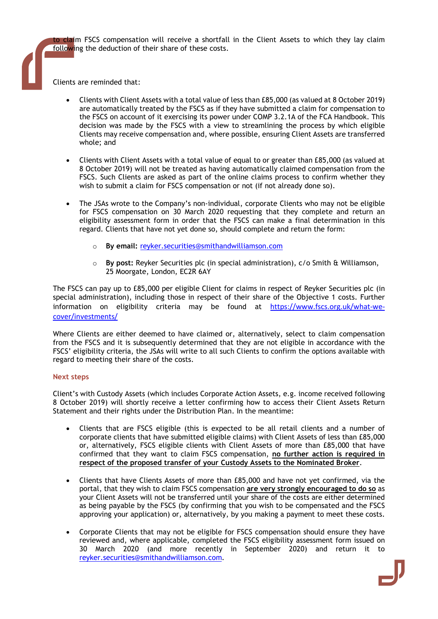to claim FSCS compensation will receive a shortfall in the Client Assets to which they lay claim following the deduction of their share of these costs.

Clients are reminded that:

- Clients with Client Assets with a total value of less than £85,000 (as valued at 8 October 2019) are automatically treated by the FSCS as if they have submitted a claim for compensation to the FSCS on account of it exercising its power under COMP 3.2.1A of the FCA Handbook. This decision was made by the FSCS with a view to streamlining the process by which eligible Clients may receive compensation and, where possible, ensuring Client Assets are transferred whole; and
- Clients with Client Assets with a total value of equal to or greater than £85,000 (as valued at 8 October 2019) will not be treated as having automatically claimed compensation from the FSCS. Such Clients are asked as part of the online claims process to confirm whether they wish to submit a claim for FSCS compensation or not (if not already done so).
- The JSAs wrote to the Company's non-individual, corporate Clients who may not be eligible for FSCS compensation on 30 March 2020 requesting that they complete and return an eligibility assessment form in order that the FSCS can make a final determination in this regard. Clients that have not yet done so, should complete and return the form:
	- By email: reyker.securities@smithandwilliamson.com
	- $\circ$  By post: Reyker Securities plc (in special administration),  $c/o$  Smith & Williamson, 25 Moorgate, London, EC2R 6AY

The FSCS can pay up to £85,000 per eligible Client for claims in respect of Reyker Securities plc (in special administration), including those in respect of their share of the Objective 1 costs. Further information on eligibility criteria may be found at https://www.fscs.org.uk/what-wecover/investments/

Where Clients are either deemed to have claimed or, alternatively, select to claim compensation from the FSCS and it is subsequently determined that they are not eligible in accordance with the FSCS' eligibility criteria, the JSAs will write to all such Clients to confirm the options available with regard to meeting their share of the costs.

### Next steps

Client's with Custody Assets (which includes Corporate Action Assets, e.g. income received following 8 October 2019) will shortly receive a letter confirming how to access their Client Assets Return Statement and their rights under the Distribution Plan. In the meantime:

- Clients that are FSCS eligible (this is expected to be all retail clients and a number of corporate clients that have submitted eligible claims) with Client Assets of less than £85,000 or, alternatively, FSCS eligible clients with Client Assets of more than £85,000 that have confirmed that they want to claim FSCS compensation, no further action is required in respect of the proposed transfer of your Custody Assets to the Nominated Broker.
- Clients that have Clients Assets of more than £85,000 and have not yet confirmed, via the portal, that they wish to claim FSCS compensation are very strongly encouraged to do so as your Client Assets will not be transferred until your share of the costs are either determined as being payable by the FSCS (by confirming that you wish to be compensated and the FSCS approving your application) or, alternatively, by you making a payment to meet these costs.
- Corporate Clients that may not be eligible for FSCS compensation should ensure they have reviewed and, where applicable, completed the FSCS eligibility assessment form issued on 30 March 2020 (and more recently in September 2020) and return it to reyker.securities@smithandwilliamson.com.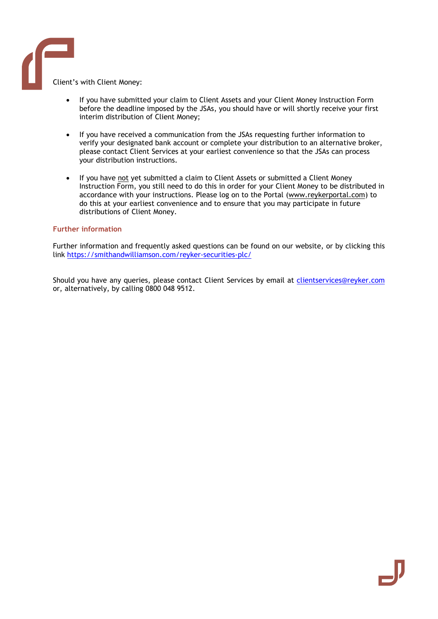Client's with Client Money:

- If you have submitted your claim to Client Assets and your Client Money Instruction Form before the deadline imposed by the JSAs, you should have or will shortly receive your first interim distribution of Client Money;
- If you have received a communication from the JSAs requesting further information to verify your designated bank account or complete your distribution to an alternative broker, please contact Client Services at your earliest convenience so that the JSAs can process your distribution instructions.
- If you have not yet submitted a claim to Client Assets or submitted a Client Money Instruction Form, you still need to do this in order for your Client Money to be distributed in accordance with your instructions. Please log on to the Portal (www.reykerportal.com) to do this at your earliest convenience and to ensure that you may participate in future distributions of Client Money.

#### Further information

Further information and frequently asked questions can be found on our website, or by clicking this link https://smithandwilliamson.com/reyker-securities-plc/

Should you have any queries, please contact Client Services by email at clientservices@reyker.com or, alternatively, by calling 0800 048 9512.